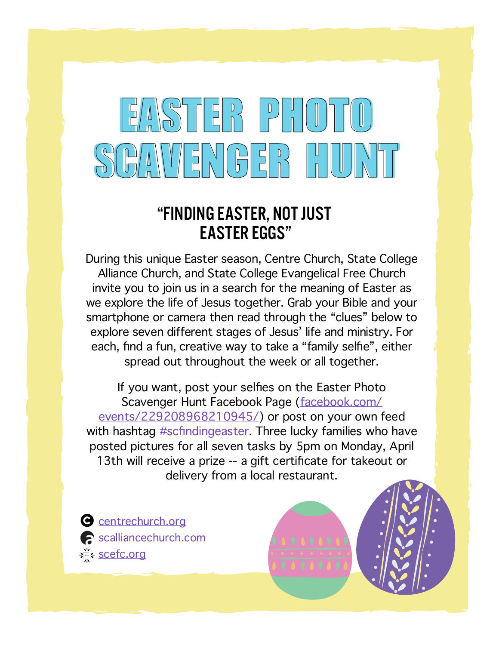## EASTER PHOTO EASTER PHOTO SCAVENGER HUNT SCAVENGER HUNT

#### "FINDING EASTER, NOT JUST EASTER EGGS"

During this unique Easter season, Centre Church, State College Alliance Church, and State College Evangelical Free Church invite you to join us in a search for the meaning of Easter as we explore the life of Jesus together. Grab your Bible and your smartphone or camera then read through the "clues" below to explore seven different stages of Jesus' life and ministry. For each, find a fun, creative way to take a "family selfie", either spread out throughout the week or all together.

If you want, post your selfies on the Easter Photo Scavenger Hunt Facebook Page (facebook.com/ events/229208968210945/) or post on your own feed with hashtag #scfindingeaster. Three lucky families who have posted pictures for all seven tasks by 5pm on Monday, April 13th will receive a prize -- a gift certificate for takeout or delivery from a local restaurant.

C centrechurch.org scalliancechurch.com sefc.org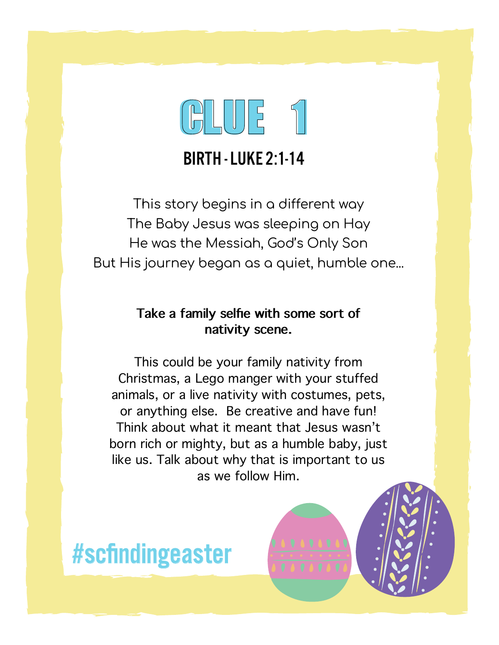

#### BIRTH - LUKE 2:1-14

This story begins in a different way The Baby Jesus was sleeping on Hay He was the Messiah, God's Only Son But His journey began as a quiet, humble one...

#### **Take a family selfie with some sort of nativity scene.**

This could be your family nativity from Christmas, a Lego manger with your stuffed animals, or a live nativity with costumes, pets, or anything else. Be creative and have fun! Think about what it meant that Jesus wasn't born rich or mighty, but as a humble baby, just like us. Talk about why that is important to us as we follow Him.

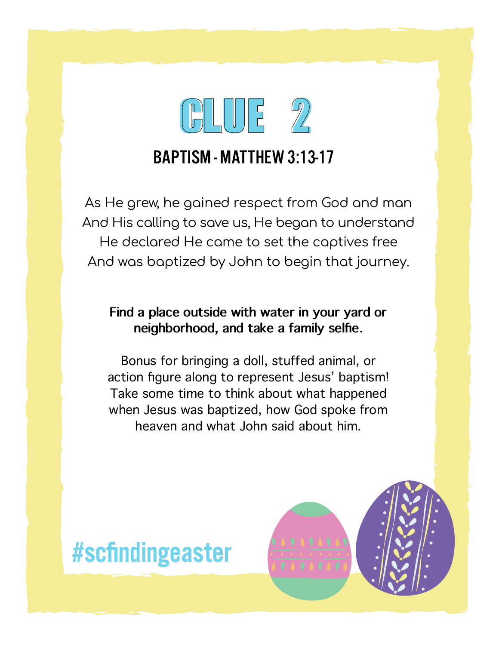

### BAPTISM - MATTHEW 3:13-17

As He grew, he gained respect from God and man And His calling to save us, He began to understand He declared He came to set the captives free And was baptized by John to begin that journey.

#### **Find a place outside with water in your yard or neighborhood, and take a family selfie**.

Bonus for bringing a doll, stuffed animal, or action figure along to represent Jesus' baptism! Take some time to think about what happened when Jesus was baptized, how God spoke from heaven and what John said about him.

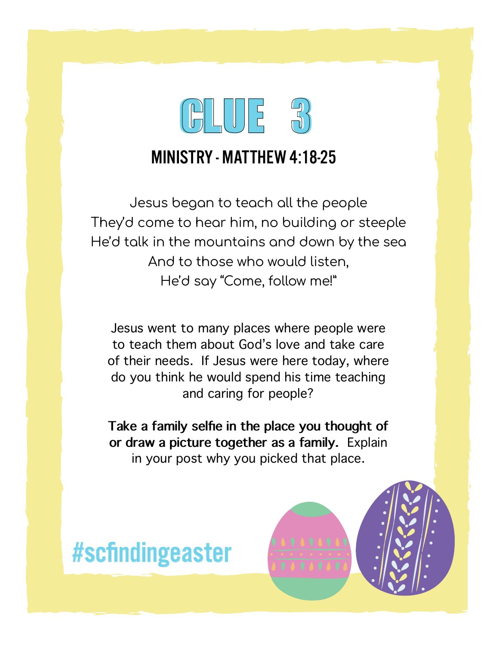

#### MINISTRY - MATTHEW 4:18-25

Jesus began to teach all the people They'd come to hear him, no building or steeple He'd talk in the mountains and down by the sea And to those who would listen, He'd say "Come, follow me!"

Jesus went to many places where people were to teach them about God's love and take care of their needs. If Jesus were here today, where do you think he would spend his time teaching and caring for people?

**Take a family selfie in the place you thought of or draw a picture together as a family.** Explain in your post why you picked that place.

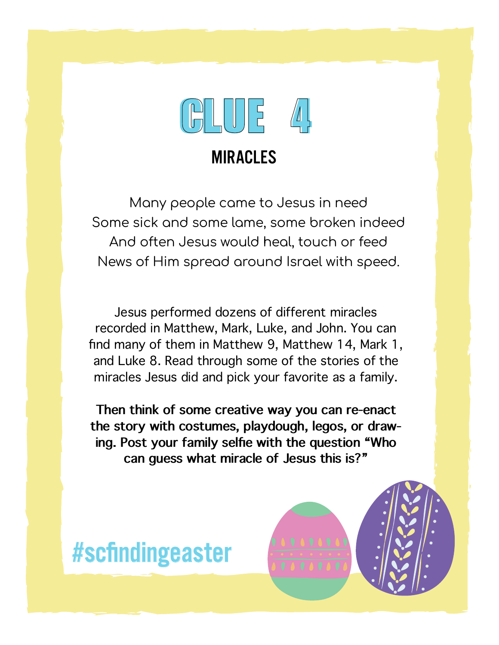

#### MIRACLES

Many people came to Jesus in need Some sick and some lame, some broken indeed And often Jesus would heal, touch or feed News of Him spread around Israel with speed.

Jesus performed dozens of different miracles recorded in Matthew, Mark, Luke, and John. You can find many of them in Matthew 9, Matthew 14, Mark 1, and Luke 8. Read through some of the stories of the miracles Jesus did and pick your favorite as a family.

**Then think of some creative way you can re-enact the story with costumes, playdough, legos, or drawing. Post your family selfie with the question "Who can guess what miracle of Jesus this is?"**

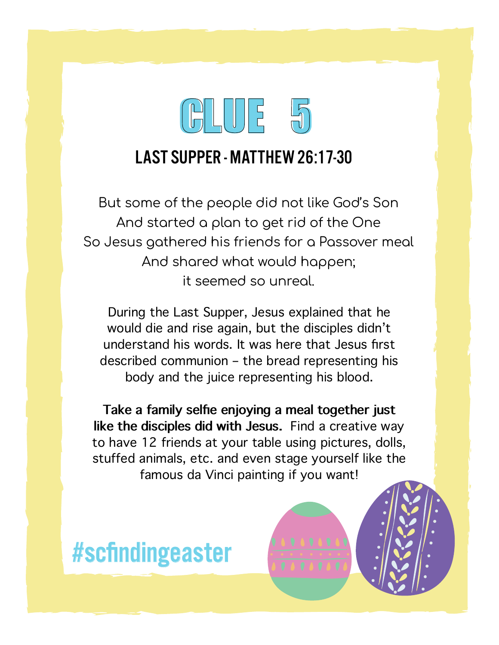

#### LAST SUPPER - MATTHEW 26:17-30

But some of the people did not like God's Son And started a plan to get rid of the One So Jesus gathered his friends for a Passover meal And shared what would happen; it seemed so unreal.

During the Last Supper, Jesus explained that he would die and rise again, but the disciples didn't understand his words. It was here that Jesus first described communion – the bread representing his body and the juice representing his blood.

**Take a family selfie enjoying a meal together just like the disciples did with Jesus.** Find a creative way to have 12 friends at your table using pictures, dolls, stuffed animals, etc. and even stage yourself like the famous da Vinci painting if you want!

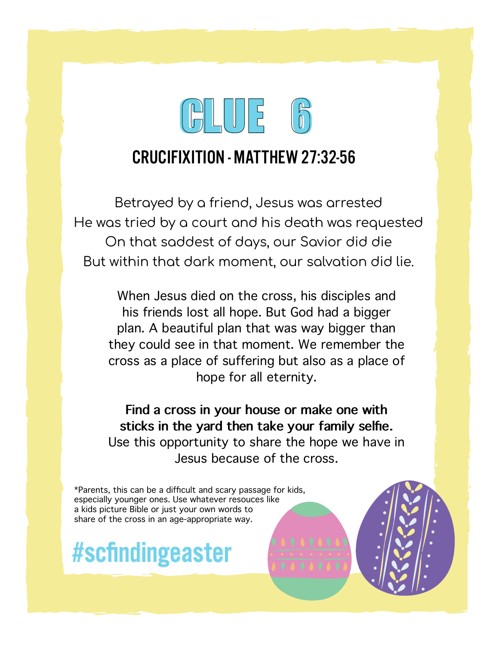

#### CRUCIFIXITION - MATTHEW 27:32-56

Betrayed by a friend, Jesus was arrested He was tried by a court and his death was requested On that saddest of days, our Savior did die But within that dark moment, our salvation did lie.

When Jesus died on the cross, his disciples and his friends lost all hope. But God had a bigger plan. A beautiful plan that was way bigger than they could see in that moment. We remember the cross as a place of suffering but also as a place of hope for all eternity.

**Find a cross in your house or make one with sticks in the yard then take your family selfie.**  Use this opportunity to share the hope we have in Jesus because of the cross.

\*Parents, this can be a difficult and scary passage for kids, especially younger ones. Use whatever resouces like a kids picture Bible or just your own words to share of the cross in an age-appropriate way.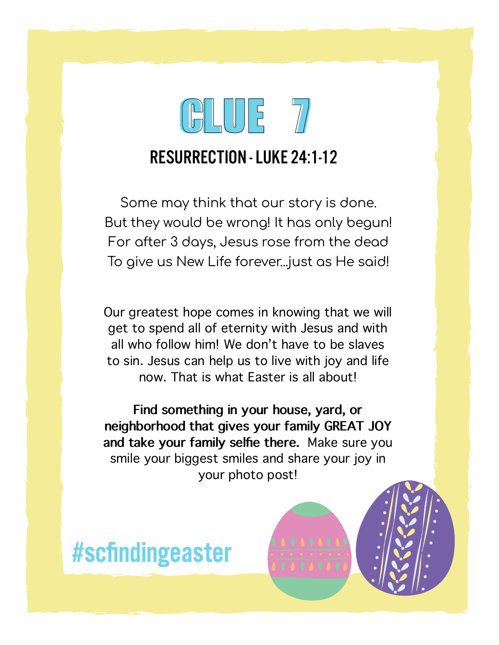# CLUE 7 CLUE 7

### RESURRECTION - LUKE 24:1-12

Some may think that our story is done. But they would be wrong! It has only begun! For after 3 days, Jesus rose from the dead To give us New Life forever...just as He said!

Our greatest hope comes in knowing that we will get to spend all of eternity with Jesus and with all who follow him! We don't have to be slaves to sin. Jesus can help us to live with joy and life now. That is what Easter is all about!

**Find something in your house, yard, or neighborhood that gives your family GREAT JOY and take your family selfie there.** Make sure you smile your biggest smiles and share your joy in your photo post!